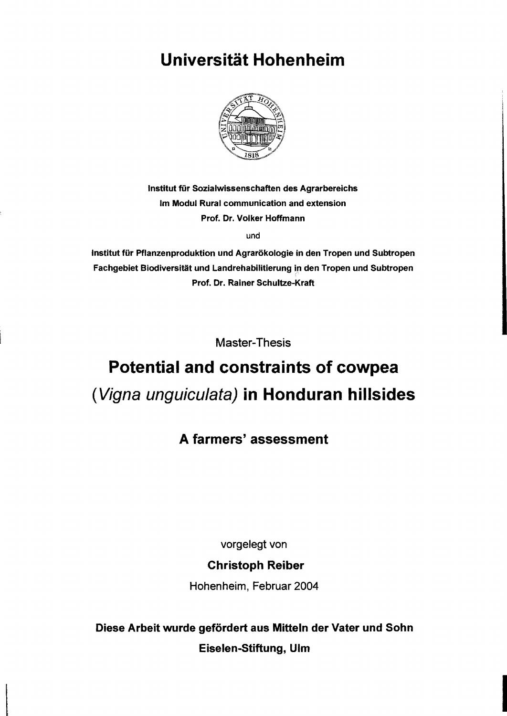# **Universität Hohenheim**



Institut für Sozialwissenschaften des Agrarbereichs Im Modul Rural communication and extension Prof. Dr. Volker Hoffmann

und

Institut für Pflanzenproduktion und Agrarökologie in den Tropen und Subtropen Fachgebiet Biodiversität und Landrehabilitierung in den Tropen und Subtropen Prof. Dr. Rainer Schultze-Kraft

Master-Thesis

# **Potential and constraints of cowpea**  (Vigna unguiculata) **in Honduran hillsides**

### A farmers' assessment

vorgelegt von

#### Christoph Reiber

Hohenheim, Februar 2004

Diese Arbeit wurde gefördert aus Mitteln der Vater und Sohn Eiselen-Stiftung, Ulm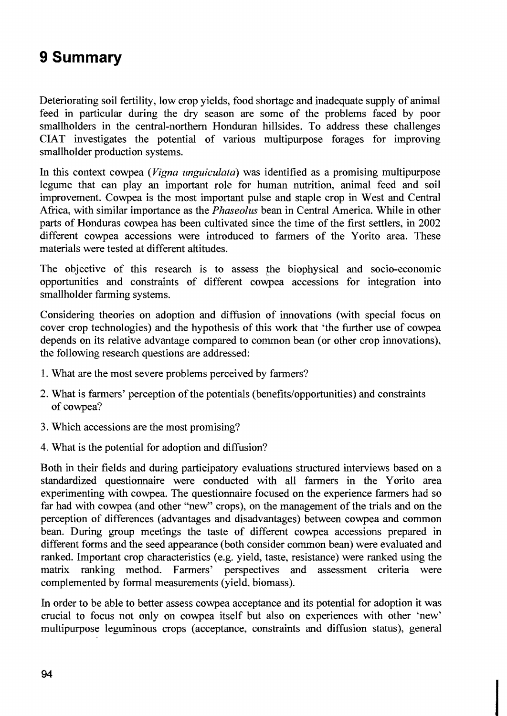# **9 Summary**

Deteriorating soil fertility, low crop yields, food shortage and inadequate supply of animal feed in particular during the dry season are some of the problems faced by poor smallholders in the central-northern Honduran hillsides. To address these challenges CIAT investigates the potential of various multipurpose forages for improving smallholder production systems.

In this context cowpea *(Vigna unguiculata)* was identified as a promising multipurpose legume that can play an important role for human nutrition, animal feed and soil improvement. Cowpea is the most important pulse and staple crop in West and Central Africa, with similar importance as the *Phaseolus* bean in Central America. While in other parts of Honduras cowpea has been cultivated since the time of the first settiers, in 2002 different cowpea accessions were introduced to farmers of the Yorito area. These materials were tested at different altitudes.

The objective of this research is to assess the biophysical and socio-economic opportunities and constraints of different cowpea accessions for integration into smallholder farming systems.

Considering theories on adoption and diffusion of innovations (with special focus on cover crop technologies) and the hypothesis of this work that 'the further use of cowpea depends on its relative advantage compared to common bean (or other crop innovations), the following research questions are addressed:

- 1. What are the most severe problems perceived by farmers?
- 2. What is farmers' perception of the potentials (benefits/opportunities) and constraints of cowpea?
- 3. Which accessions are the most promising?
- 4. What is the potential for adoption and diffusion?

Both in their fields and during participatory evaluations structured interviews based on a standardized questionnaire were conducted with all farmers in the Yorito area experimenting with cowpea. The questionnaire focused on the experience farmers had so far had with cowpea (and other "new" crops), on the management of the trials and on the perception of differences (advantages and disadvantages) between cowpea and common bean. During group meetings the taste of different cowpea accessions prepared in different forms and the seed appearance (both consider common bean) were evaluated and ranked. Important crop characteristics (e.g. yield, taste, resistance) were ranked using the matrix ranking method. Farmers' perspectives and assessment criteria were complemented by formal measurements (yield, biomass).

In order to be able to better assess cowpea acceptance and its potential for adoption it was crucial to focus not only on cowpea itself but also on experiences with other 'new' multipurpose leguminous crops (acceptance, constraints and diffusion status), general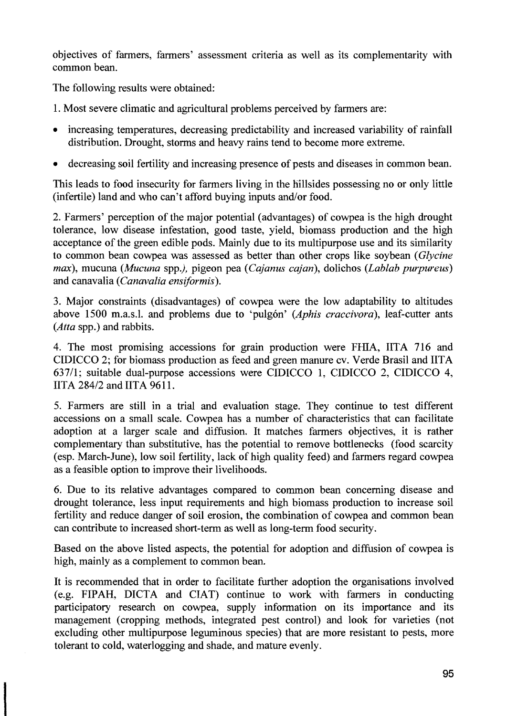objectives of farmers, farmers' assessment criteria as well as its complementarity with common bean.

The following results were obtained:

1. Most severe climatic and agricultural problems perceived by farmers are:

- increasing temperatures, decreasing predictability and increased variability of rainfall distribution. Drought, storms and heavy rains tend to become more extreme.
- decreasing soil fertility and increasing presence of pests and diseases in common bean.

This leads to food insecurity for farmers living in the hillsides possessing no or only little (infertile) land and who can't afford buying inputs and/or food.

2. Farmers' perception of the major potential (advantages) of cowpea is the high drought tolerance, low disease infestation, good taste, yield, biomass production and the high acceptance of the green edible pods. Mainly due to its multipurpose use and its similarity to common bean cowpea was assessed as better than other crops like soybean *(Glycine max),* mucuna *(Mucuna* spp.), pigeon pea *(Cajanus cajan),* dolichos *(Lablab purpureus)*  and canavalia *(Canavalia ensiformis).* 

3. Major constraints (disadvantages) of cowpea were the low adaptability to altitudes above 1500 m.a.s.l. and problems due to 'pulgón' *(Aphis craccivora)*, leaf-cutter ants *(Atta* spp.) and rabbits.

4. The most promising accessions for grain production were FillA, IITA 716 and CIDICCO 2; for biomass production as feed and green manure cv. Verde Brasil and IITA 637/1; suitable dual-purpose accessions were CIDICCO 1, CIDICCO 2, CIDICCO 4, IITA 284/2 and IITA 9611.

5. Farmers are still in a trial and evaluation stage. They continue to test different accessions on a small scale. Cowpea has a number of characteristics that can facilitate adoption at a larger scale and diffusion. It matches farmers objectives, it is rather complementary than substitutive, has the potential to remove bottlenecks (food scarcity (esp. March-June), low soil fertility, lack of high quality feed) and farmers regard cowpea as a feasible option to improve their livelihoods.

6. Due to its relative advantages compared to common bean conceming disease and drought tolerance, less input requirements and high biomass production to increase soil fertility and reduce danger of soil erosion, the combination of cowpea and common bean can contribute to increased short-term as weIl as long-term food security.

Based on the above listed aspects, the potential for adoption and diffusion of cowpea is high, mainly as a complement to common bean.

It is recommended that in order to facilitate further adoption the organisations involved (e.g. FIPAH, DICTA and CIAT) continue to work with farmers in conducting participatory research on cowpea, supply information on its importance and its management (cropping methods, integrated pest control) and look for varieties (not excluding other multipurpose leguminous species) that are more resistant to pests, more tolerant to cold, waterlogging and shade, and mature evenly.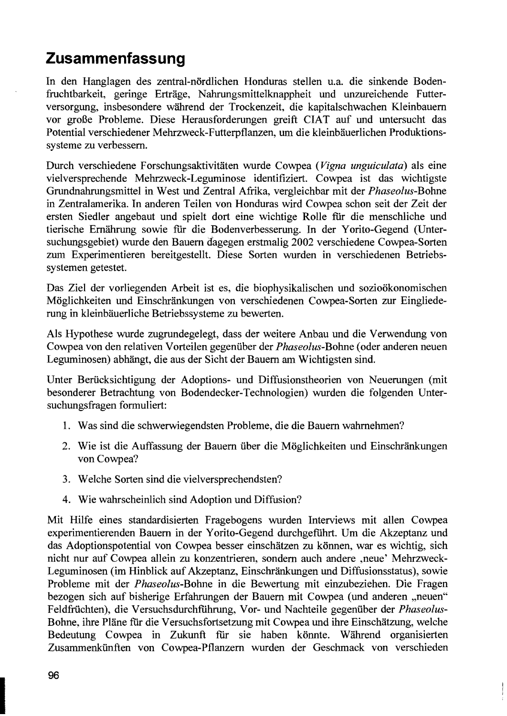## **Zusammenfassung**

In den Hanglagen des zentral-nördlichen Honduras stellen u.a. die sinkende Bodenfruchtbarkeit, geringe Erträge, Nahrungsmittelknappheit und unzureichende Futterversorgung, insbesondere während der Trockenzeit, die kapitalschwachen Kleinbauern vor große Probleme. Diese Herausforderungen greift CIAT auf und untersucht das Potential verschiedener Mehrzweck-Futterpflanzen, um die kleinbäuerlichen Produktionssysteme zu verbessern.

Durch verschiedene Forschungsaktivitäten wurde Cowpea *(Vigna unguiculata)* als eine vielversprechende Mehrzweck-Leguminose identifiziert. Cowpea ist das wichtigste Grundnahrungsmittel in West und Zentral Afrika, vergleichbar mit der *Phaseolus-Bohne*  in Zentralamerika. In anderen Teilen von Honduras wird Cowpea schon seit der Zeit der ersten Siedler angebaut und spielt dort eine wichtige Rolle für die menschliche und tierische Ernährung sowie für die Bodenverbesserung. In der Y orito-Gegend (Untersuchungsgebiet) wurde den Bauern dagegen erstmalig 2002 verschiedene Cowpea-Sorten zum Experimentieren bereitgestellt. Diese Sorten wurden in verschiedenen Betriebssystemen getestet.

Das Ziel der vorliegenden Arbeit ist es, die biophysikalischen und sozioökonomischen Möglichkeiten und Einschränkungen von verschiedenen Cowpea-Sorten zur Eingliederung in kleinbäuerliche Betriebssysteme zu bewerten.

Als Hypothese wurde zugrundegelegt, dass der weitere Anbau und die Verwendung von Cowpea von den relativen Vorteilen gegenüber der *Phaseolus-*Bohne (oder anderen neuen Leguminosen) abhängt, die aus der Sicht der Bauern am Wichtigsten sind.

Unter Berücksichtigung der Adoptions- und Diffusionstheorien von Neuerungen (mit besonderer Betrachtung von Bodendecker-Technologien) wurden die folgenden Untersuchungsfragen formuliert:

- 1. Was sind die schwerwiegendsten Probleme, die die Bauern wahrnehmen?
- 2. Wie ist die Auffassung der Bauern über die Möglichkeiten und Einschränkungen von Cowpea?
- 3. Welche Sorten sind die vielversprechendsten?
- 4. Wie wahrscheinlich sind Adoption und Diffusion?

Mit Hilfe eines standardisierten Fragebogens wurden Interviews mit allen Cowpea experimentierenden Bauern in der Y orito-Gegend durchgefiihrt. Um die Akzeptanz und das Adoptionspotential von Cowpea besser einschätzen zu können, war es wichtig, sich nicht nur auf Cowpea allein zu konzentrieren, sondern auch andere ,neue' Mehrzweck-Leguminosen (im Hinblick auf Akzeptanz, Einschränkungen und Diffusionsstatus ), sowie Probleme mit der *Phaseolus-Bohne* in die Bewertung mit einzubeziehen. Die Fragen bezogen sich auf bisherige Erfahrungen der Bauern mit Cowpea (und anderen "neuen" Feldfrüchten), die Versuchs durchführung, Vor- und Nachteile gegenüber der *Phaseolus-*Bohne, ihre Pläne für die Versuchsfortsetzung mit Cowpea und ihre Einschätzung, welche Bedeutung Cowpea in Zukunft für sie haben könnte. Während organisierten Zusammenkünften von Cowpea-Pflanzern wurden der Geschmack von verschieden